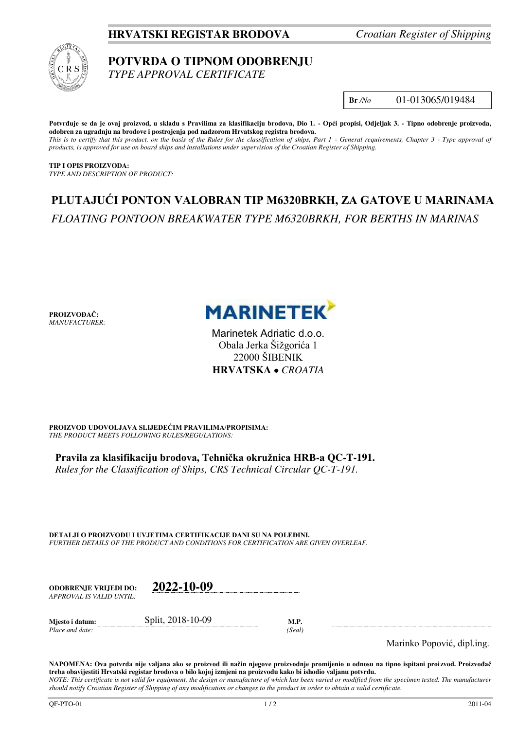# **HRVATSKI REGISTAR BRODOVA** *Croatian Register of Shipping*



## **POTVRDA O TIPNOM ODOBRENJU**  *TYPE APPROVAL CERTIFICATE*

**Br** */No* 01-013065/019484

**Potvrđuje se da je ovaj proizvod, u skladu s Pravilima za klasifikaciju brodova, Dio 1. - Opći propisi, Odjeljak 3. - Tipno odobrenje proizvoda, odobren za ugradnju na brodove i postrojenja pod nadzorom Hrvatskog registra brodova.**  *This is to certify that this product, on the basis of the Rules for the classification of ships, Part 1 - General requirements, Chapter 3 - Type approval of products, is approved for use on board ships and installations under supervision of the Croatian Register of Shipping.* 

**TIP I OPIS PROIZVODA:** *TYPE AND DESCRIPTION OF PRODUCT:* 

# **PLUTAJUĆI PONTON VALOBRAN TIP M6320BRKH, ZA GATOVE U MARINAMA** *FLOATING PONTOON BREAKWATER TYPE M6320BRKH, FOR BERTHS IN MARINAS*

**PROIZVOĐAČ:** *MANUFACTURER:*



Marinetek Adriatic d.o.o. Obala Jerka Šižgorića 1 22000 ŠIBENIK **HRVATSKA**  *CROATIA*

**PROIZVOD UDOVOLJAVA SLIJEDEĆIM PRAVILIMA/PROPISIMA:** *THE PRODUCT MEETS FOLLOWING RULES/REGULATIONS:* 

**Pravila za klasifikaciju brodova, Tehnička okružnica HRB-a QC-T-191.**  *Rules for the Classification of Ships, CRS Technical Circular QC-T-191.*

**DETALJI O PROIZVODU I UVJETIMA CERTIFIKACIJE DANI SU NA POLEĐINI.** *FURTHER DETAILS OF THE PRODUCT AND CONDITIONS FOR CERTIFICATION ARE GIVEN OVERLEAF.* 

**ODOBRENJE VRIJEDI DO: 2022-10-09** *APPROVAL IS VALID UNTIL:*

*Place and date: (Seal)* 

**Mjesto i datum:** Split, 2018-10-09 **M.P.** 

Marinko Popović, dipl.ing.

**NAPOMENA: Ova potvrda nije valjana ako se proizvod ili način njegove proizvodnje promijenio u odnosu na tipno ispitani proizvod. Proizvođač treba obavijestiti Hrvatski registar brodova o bilo kojoj izmjeni na proizvodu kako bi ishodio valjanu potvrdu.**  *NOTE: This certificate is not valid for equipment, the design or manufacture of which has been varied or modified from the specimen tested. The manufacturer*